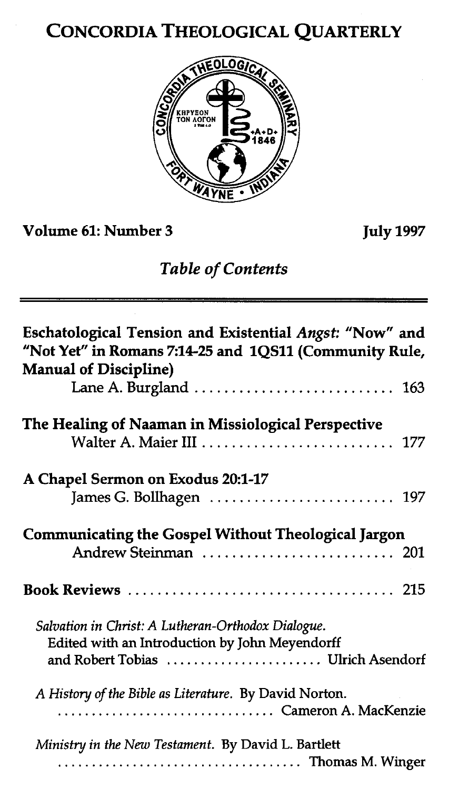# CONCORDIA THEOLOGICAL QUARTERLY



**Volume 61: Number 3 July 1997** 

# *Table* **of** *Contents*

| Eschatological Tension and Existential Angst: "Now" and<br>"Not Yet" in Romans 7:14-25 and 1QS11 (Community Rule,<br><b>Manual of Discipline)</b> |
|---------------------------------------------------------------------------------------------------------------------------------------------------|
|                                                                                                                                                   |
| The Healing of Naaman in Missiological Perspective<br>Walter A. Maier III  177                                                                    |
| A Chapel Sermon on Exodus 20:1-17                                                                                                                 |
| <b>Communicating the Gospel Without Theological Jargon</b><br>Andrew Steinman  201                                                                |
|                                                                                                                                                   |
| Salvation in Christ: A Lutheran-Orthodox Dialogue.<br>Edited with an Introduction by John Meyendorff<br>and Robert Tobias  Ulrich Asendorf        |
| A History of the Bible as Literature. By David Norton.<br>Cameron A. MacKenzie                                                                    |
| Ministry in the New Testament. By David L. Bartlett                                                                                               |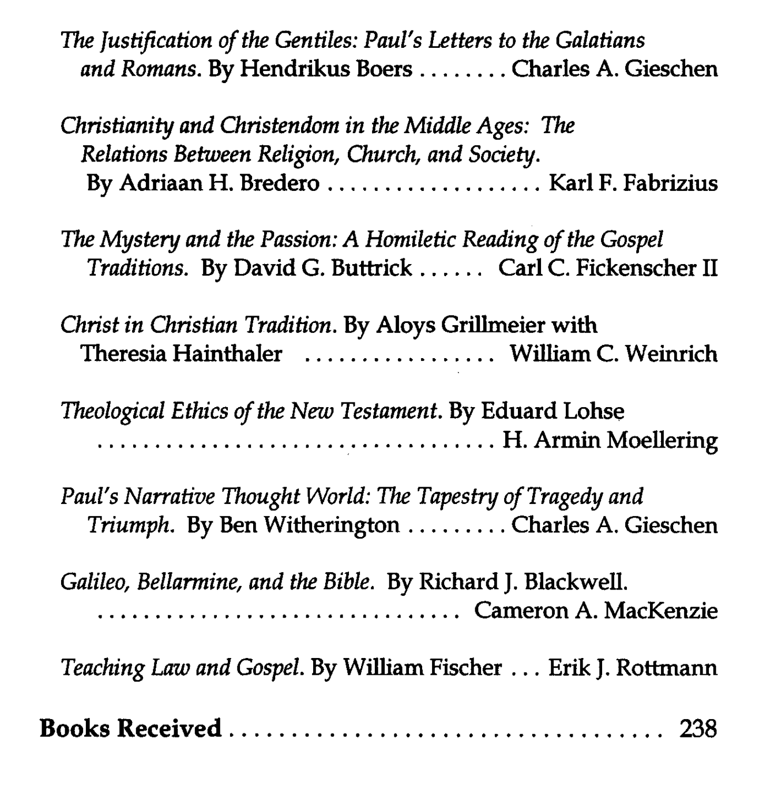*The Justification of the Gentiles: Paul's Letters to the Galatians and Romans.* **By Hendrikus Boers** ........ **Charles A. Gieschen** 

*Christianity and Christendom in the Middle Ages: The Relations Between Religion, Church, and Society.*  **By Adriaan** *H.* **Bredero** ................... **Karl F. Fabrizius** 

*The Mystery and the Passion: A Homiletic Reading of the Gospel Traditions.* **By David G. Buttrick** ...... **Carl C. Fickenscher I1** 

*Christ in Christian Tradition.* **By Aloys Grillmeier with Theresia Hainthaler** ................. **William C. Weinrich** 

*Theological Ethics of the New Testament.* **By Eduard Lohse** ................................... **H.ArminMoellering** 

*Paul's Narrative Thought World: The Tapestry of Tragedy and Triumph.* **By Ben Witherington** ......... **Charles A. Gieschen** 

*Galileo, Bellarmine, and the Bible.* **By Richard** *J.* **Blackwell.**  ................................ **Cameron A. MacKenzie** 

*Teaching* **Law** *and Gospel.* **By William Fischer** ... **Erik J. Rottrnann** 

**Books Received** ................................... **238**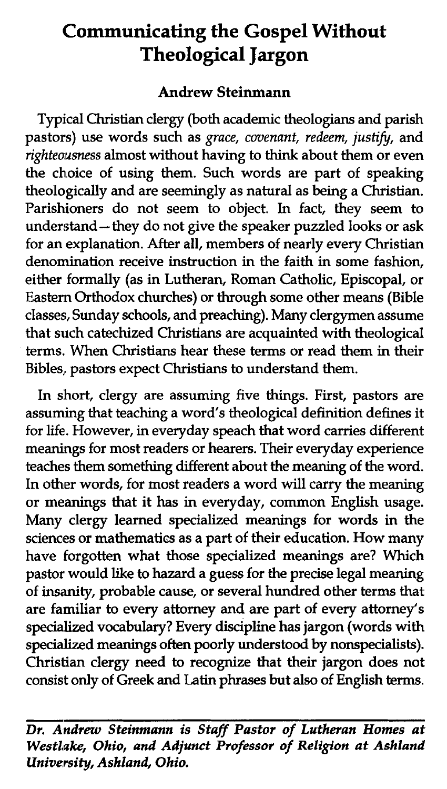# **Communicating the Gospel Without Theological Jargon**

# Andrew Steinmann

Typical Christian clergy (both academic theologians and parish pastors) use words such as grace, covenant, redeem, **justify,** and righteausness almost without having to think about them or even the choice of using them. Such words are part of speaking theologically and are seemingly as natural as being a Christian. Parishioners do not seem to object. In fact, they seem to understand - they do not give the speaker puzzled looks or ask for an explanation. After all, members of nearly every Christian denomination receive instruction in the faith in some fashion, either formally (as in Lutheran, Roman Catholic, Episcopal, or Eastenn Orthodox churches) or through some other means (Bible classes;, Sunday schools, and preaching). Many clergymen assume that such catechized Christians are acquainted with theological terms. When Christians hear these terms or read them in their Bibles, pastors expect Christians to understand them.

In short, clergy are assuming five things. First, pastors are assuming that teaching a word's theological definition defines it for life. However, in everyday speach that word carries different meanings for most readers or hearers. Their everyday experience teaches them something different about the meaning of the word. In other words, for most readers a word will carry the meaning or meanings that it has in everyday, common English usage. Many clergy learned specialized meanings for words in the sciences or mathematics as a part of their education. How many have forgotten what those specialized meanings are? Which pastor would like to hazard a guess for the precise legal meaning of **insanity,** probable cause, or several hundred other terms that are familiar to every attorney and are part of every attorney's specialized vocabulary? Every discipline has jargon (words with specialized meanings often poorly understood by nonspecialists). Christian clergy need to recognize that their jargon does not consist only of Greek and Latin phrases but also of English terms.

Dr. Andrew Steinmann is Staff Pastor of Lutheran Homes at Westlake, Ohio, and Adjunct Professor of Religion at Ashland University, Ashland, Ohio.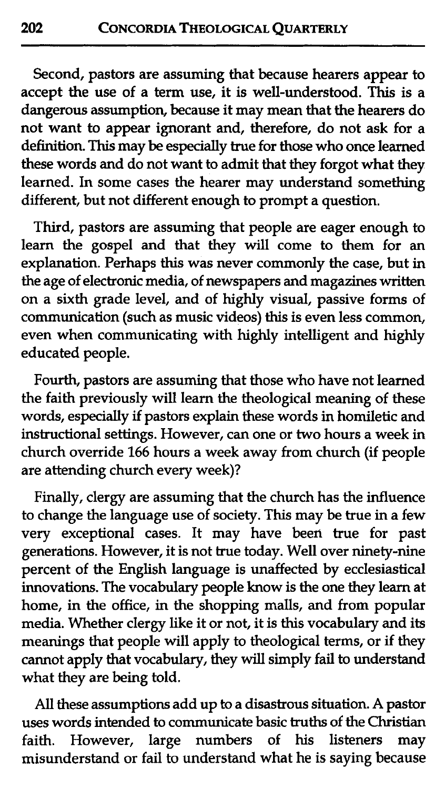Second, pastors are assuming that because hearers appear to accept the use of a term use, it is well-understood. This is a dangerous assumption, because it may mean that the hearers do not want to appear ignorant and, therefore, do not ask for a definition. This may be especially true for those who once learned these words and do not want to admit that they forgot what they learned. In some cases the hearer may understand something different, but not different enough to prompt a question.

Third, pastors are assuming that people are eager enough to learn the gospel and that they will come to them for an explanation. Perhaps this was never commonly the case, but in the age of electronic media, of newspapers and magazines written on a sixth grade level, and of highly visual, passive forms of communication (such as music videos) this is even less common, even when communicating with highly intelligent and highly educated people.

Fourth, pastors are assuming that those who have not learned the faith previously will learn the theological meaning of these words, especially if pastors explain these words in homiletic and instructional settings. However, can one or two hours a week in church override 166 hours a week away from church (if people are attending church every week)?

Finally, clergy are assuming that the church has the influence to change the language use of society. This may be true in a few very exceptional cases. It may have been true for past generations. However, it is not true today. Well over ninety-nine percent of the English language is unaffected by ecclesiastical innovations. The vocabulary people know is the one they learn at home, in the office, in the shopping malls, and from popular media. Whether clergy like it or not, it is this vocabulary and its meanings that people will apply to theological terms, or if they cannot apply that vocabulary, they will simply fail to understand what they are being told.

*All* these assumptions add up to a disastrous situation. A pastor uses words intended to communicate basic truths of the Christian<br>faith. However, large numbers of his listeners may faith. However, large numbers of his listeners misunderstand or fail to understand what he is saying because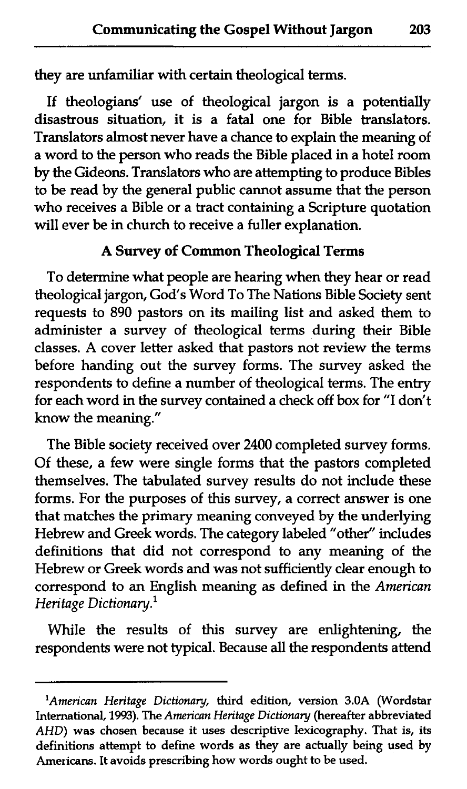$\frac{c}{\sqrt{c}}$ they are unfamiliar with certain theological terms.

If theologians' use of theological jargon is a potentially disastrous situation, it is a fatal one for Bible translators. Translators almost never have a chance to explain the meaning of a word to the person who reads the Bible placed in a hotel room by the Gideons. Translators who are attempting to produce Bibles to be read by the general public cannot assume that the person who receives a Bible or a tract containing a Scripture quotation will ever be in church to receive a fuller explanation.

# A Survey of Common Theological Terms

To determine what people are hearing when they hear or read theological jargon, God's Word To The Nations Bible Society sent requests to 890 pastors on its mailing list and asked them to administer a survey of theological terms during their Bible classes. A cover letter asked that pastors not review the terms before handing out the survey forms. The survey asked the respondents to define a number of theological terms. The entry for each word in the survey contained a check off box for "I don't know the meaning."

The Bible society received over 2400 completed survey forms. Of these, a few were single forms that the pastors completed themselves. The tabulated survey results do not include these forms. For the purposes of this survey, a correct answer is one that matches the primary meaning conveyed by the underlying Hebrew and Greek words. The category labeled "other" includes definitions that did not correspond to any meaning of the Hebrew or Greek words and was not sufficiently clear enough to correspond to an English meaning as defined in the *American Heritage Dictionary.*<sup>1</sup>

While the results of this survey are enlightening, the respondents were not typical. Because **all** the respondents attend

<sup>&</sup>lt;sup>1</sup>American Heritage Dictionary, third edition, version 3.0A (Wordstar **International, 1993). The** *American Heritage Dictionay* **(hereafter abbreviated**  *AHD)* **was chosen because it uses descriptive lexicography. That is, its definitions attempt to define words as they are actually being used by Americans. It avoids prescribing how words ought to be used.**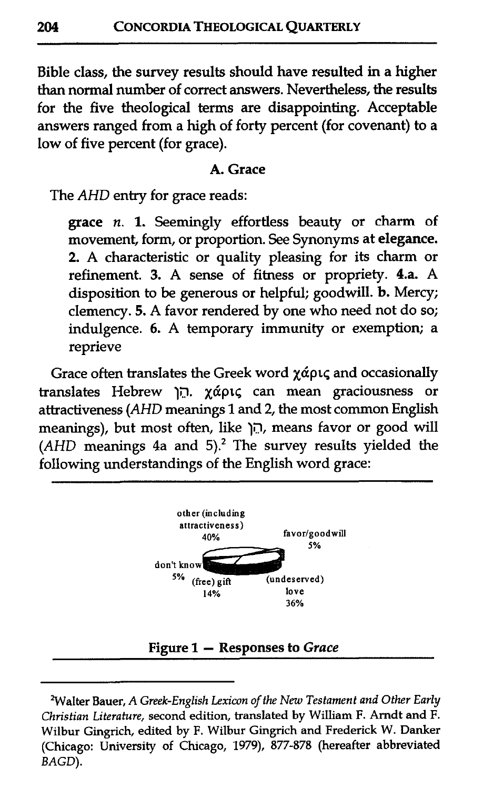Bible class, the survey results should have resulted in a higher than normal number of correct answers. Nevertheless, the results for the five theological terms are disappointing. Acceptable answers ranged from a high of forty percent (for covenant) to a low of five percent (for grace).

#### A. Grace

The AHD entry for grace reads:

grace n. 1. Seemingly effortless **beauty** or charm of movement, form, or proportion. See Synonyms at elegance. 2. A characteristic or quality pleasing for its charm or refinement. 3. A sense of fitness or propriety. **4.a.** A disposition to be generous or helpful; goodwill. b. Mercy; clemency. 5. A favor rendered by one who need not do so; indulgence. 6. A temporary immunity or exemption; a reprieve

Grace often translates the Greek word χάρις and occasionally translates Hebrew 19. **~dptq** can mean graciousness or attractiveness (AHD meanings 1 and 2, the most common English meanings), but most often, like 19, means favor or good will (AHD meanings 4a and **5).2** The survey results yielded the following understandings of the English word grace:



**<sup>&#</sup>x27;Walter Bauer, A** *Greek-English Lexicon of the New Testament and Other Early Christian Literature,* **second edition, translated by William F. Arndt and F. Wilbur Gingrich, edited by F. Wilbur Gingrich and Frederick W. Danker (Chicago: University of Chicago,** *1979), 877-878* **(hereafter abbreviated**  *BAGD).*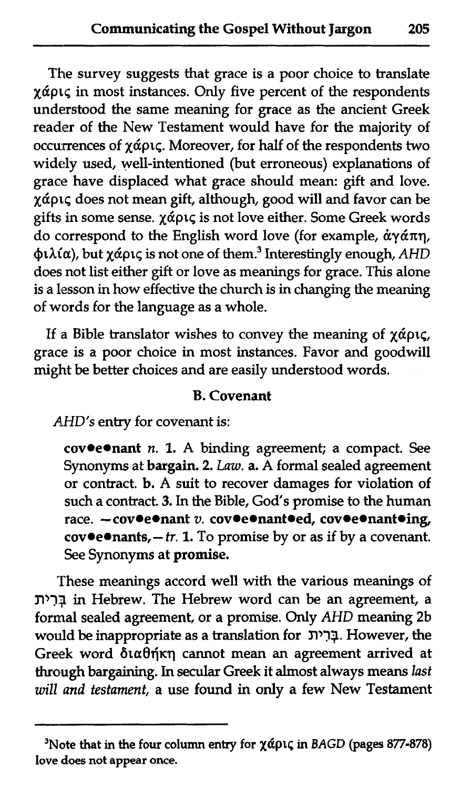$\frac{c}{\sqrt{c}}$ The survey suggests that grace is a poor choice to translate  $\chi$ άρις in most instances. Only five percent of the respondents understood the same meaning for grace as the ancient Greek reader of the New Testament would have for the majority of occurrences of  $\chi \alpha \rho$ <sub>1</sub>. Moreover, for half of the respondents two widely used, well-intentioned (but erroneous) explanations of grace have displaced what grace should mean: gift and love.  $x$ ápic does not mean gift, although, good will and favor can be gifts in some sense.  $\chi \tilde{\alpha}$ pt, is not love either. Some Greek words do correspond to the English word love (for example,  $\dot{\alpha} \gamma \acute{\alpha} \pi \eta$ , φιλία), but χάρις is not one of them. $^3$  Interestingly enough, AHD does not list either gift or love as meanings for grace. This alone is a lesson in how effective the church is in changing the meaning of words for the language as a whole.

If a Bible translator wishes to convey the meaning of  $\chi$ άρις, grace is a poor choice in most instances. Favor and goodwill might be better choices and are easily understood words.

## B. Covenant

AHD's entry for covenant is:

cov $\bullet$ e $\bullet$ nant n. 1. A binding agreement; a compact. See Synonyms at bargain. 2. Law. a. A formal sealed agreement or contract. b. A suit to recover damages for violation of such a contract. 3. In the Bible, God's promise to the human race.  $-\text{cov}\texttt{e}\texttt{e}\texttt{n}$ ant v. cov $\texttt{e}\texttt{e}\texttt{n}$ ant $\texttt{e}$ ing,  $cov$ •e•nants, - tr. 1. To promise by or as if by a covenant. See Synonyms at promise.

These meanings accord well with the various meanings of nq:? in Hebrew. The Hebrew word can be an agreement, a formal sealed agreement, or a promise. Only AHD meaning 2b would be inappropriate as a translation for בְּרִית. However, the Greek word διαθήκη cannot mean an agreement arrived at through bargaining. In secular Greek it almost always means last will and testament, a use found in only a few New Testament

<sup>&</sup>lt;sup>3</sup>Note that in the four column entry for  $\chi$ άρις in BAGD (pages 877-878) **love does not appear once.**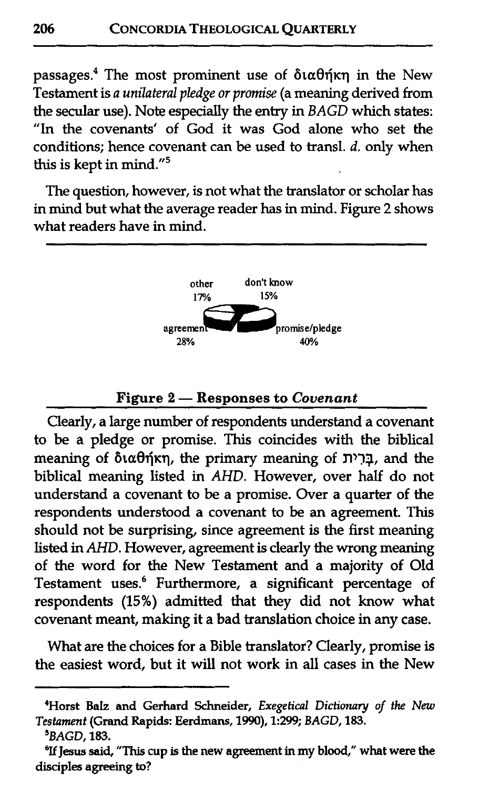passages.<sup>4</sup> The most prominent use of  $\delta$ ta $\theta$  $\eta$  in the New Testament is *a unilateral pledge or promise* (a meaning derived from the secular use). Note especially the entry in *BAGD* which states: "In the covenants' of God it was God alone who set the conditions; hence covenant can be used to transl. *d.* only when this is kept in mind."5

The question, however, is not what the translator or scholar has in mind but what the average reader has in mind. Figure 2 shows what readers have in mind.



### **Figure <sup>2</sup>**- **Responses to Covenant**

Clearly, a large number of respondents understand a covenant to be a pledge or promise. This coincides with the biblical  $m$ gneaning of διαθήκη, the primary meaning of  $\bar{p}$ דָרִית, and the biblical meaning listed in *AHD.* However, over half do not understand a covenant to be a promise. Over a quarter of the respondents understood a covenant to be an agreement. This should not be surprising, since agreement is the first meaning listed in *AHD.* However, agreement is clearly the wrong meaning of the word for the New Testament and a majority of Old Testament uses.<sup>6</sup> Furthermore, a significant percentage of respondents (15%) admitted that they did not know what covenant meant, making it a bad translation choice in any case.

What are the choices for a Bible translator? Clearly, promise is the easiest word, but it will not work in all cases in the New

<sup>&</sup>lt;sup>4</sup>Horst Balz and Gerhard Schneider, *Exegetical Dictionary of the New Testament* **(Grand Rapids: Eerdmans, 1990), 1:299;** *BAGD,* **183.** 

*<sup>&#</sup>x27;BAGD,* **183.** 

<sup>&</sup>lt;sup>6</sup>If Jesus said, "This cup is the new agreement in my blood," what were the **disciples agreeing to?**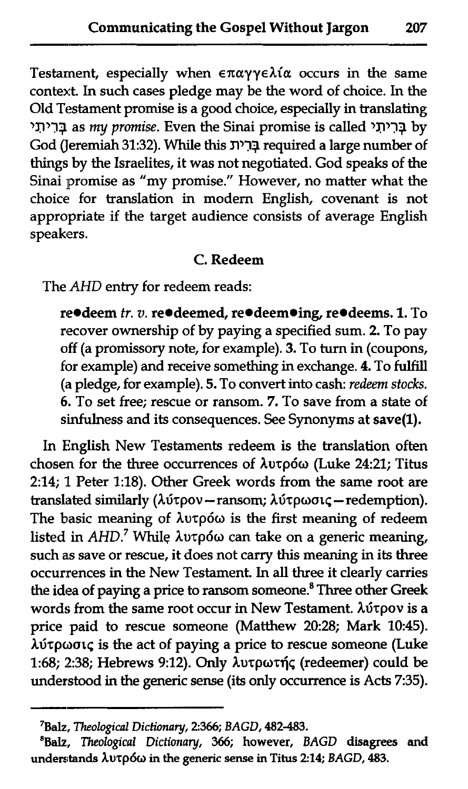Testament, especially when  $\epsilon \pi \alpha \gamma \gamma \epsilon \lambda i \alpha$  occurs in the same context. In such cases pledge may be the word of choice. In the Old Testament promise is a good choice, especially in translating **'f1'3q** as my *promise.* Even the Sinai promise is called **'f1'73** by God (Jeremiah 31:32). While this **YP3q** required a large number of things by the Israelites, it was not negotiated. God speaks of the Sinai promise as "my promise." However, no matter what the choice! for translation in modern English, covenant is not appropriate if the target audience consists of average English speakers.

### C. Redeem

The AHD entry for redeem reads:

re<sup>o</sup>deem *tr. v.* re<sup>o</sup>deemed, re<sup>odeemoing, re<sup>odeems. 1. To</sup></sup> recover ownership of by paying a specified sum. 2. To pay off (a promissory note, for example). 3. To turn in (coupons, for example) and receive something in exchange. 4. To fulfill (a pledge, for example). 5. To convert into cash: *redeem stocks.*  6. To set free; rescue or ransom. 7. To save from a state of sinfulness and its consequences. See Synonyms at save(1).

In Ehglish New Testaments redeem is the translation often chosen for the three occurrences of λυτρόω (Luke 24:21; Titus 2:14; 1 Peter 1:18). Other Greek words from the same root are translated similarly (λύτρον - ransom; λύτρωσις - redemption). The basic meaning of  $\lambda$ utpó $\omega$  is the first meaning of redeem listed in *AHD*.<sup>7</sup> While λυτρόω can take on a generic meaning, such as save or rescue, it does not carry this meaning in its three occurrences in the New Testament. In all three it clearly carries the idea of paying a price to ransom someone.<sup>8</sup> Three other Greek words from the same root occur in New Testament.  $\lambda$ útpov is a price paid to rescue someone (Matthew 20:28; Mark 10:45).  $\lambda$ ύτρωσις is the act of paying a price to rescue someone (Luke 1:68; 238; Hebrews 9:12). **Only** Auzpozfic (redeemer) could be understood in the generic sense (its only occurrence is Acts 7:35).

**<sup>&#</sup>x27;Balz,** *Theological Dictiona y, 2366; BAGD,* **482-483.** 

**<sup>&#</sup>x27;Balz,** *Theological Dictionary, 366;* **however,** *BAGD* **disagrees and understands Aurp6o in the generic sense in Titus 2:14;** *BAGD, 483.*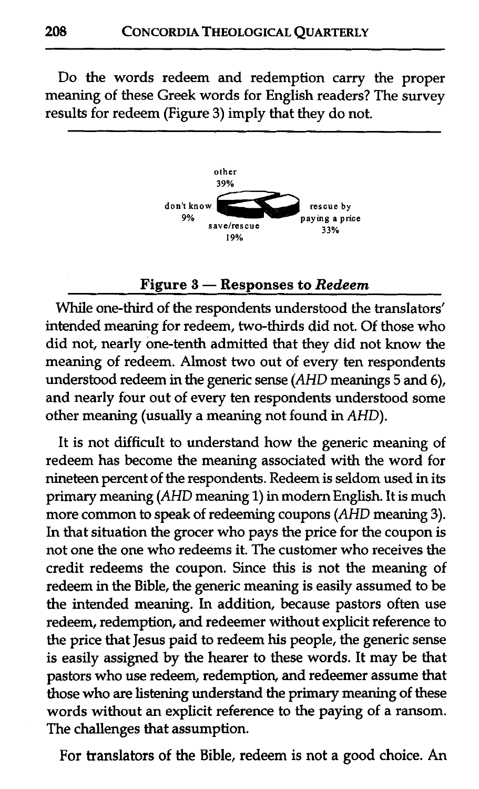Do the words redeem and redemption carry the proper meaning of these Greek words for English readers? The survey results for redeem (Figure 3) imply that they do not.



#### **Figure 3** - **Responses to** *Redeem*

While one-third of the respondents understood the translators' intended meaning for redeem, two-thirds did not. Of those who did not, nearly one-tenth admitted that they did not know the meaning of redeem. Almost two out of every ten respondents understood redeem in the generic sense (AHD meanings 5 and 6), and nearly four out of every ten respondents understood some other meaning (usually a meaning not found in AHD).

It is not difficult to understand how the generic meaning of redeem has become the meaning associated with the word for nineteen percent of the respondents. Redeem is seldom used in its primary meaning (AHD meaning 1) in modem English. It is much more common to speak of redeeming coupons (AHD meaning 3). In that situation the grocer who pays the price for the coupon is not one the one who redeems it. The customer who receives the credit redeems the coupon. Since this is not the meaning of redeem in the Bible, the generic meaning is easily assumed to be the intended meaning. In addition, because pastors often use redeem, redemption, and redeemer without explicit reference to the price that Jesus paid to redeem his people, the generic sense is easily assigned by the hearer to these words. It may be that pastors who use redeem, redemption, and redeemer assume that those who are listening understand the primary meaning of these words without an explicit reference to the paying of a ransom. The challenges that assumption.

For translators of the Bible, redeem is not a good choice. An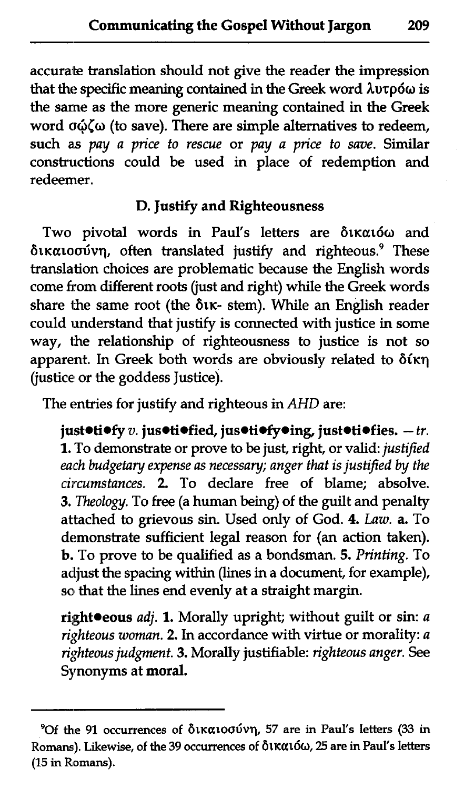accurate translation should not give the reader the impression that the specific meaning contained in the Greek word **Lutp6o** is the same as the more generic meaning contained in the Greek word σώζω (to save). There are simple alternatives to redeem, such as *pay a price to rescue* or *pay a price to save.* Similar constructions could be used in place of redemption and redeemer.

# D. Justify and Righteousness

Two pivotal words in Paul's letters are δικαιόω and δικαιοσύνη, often translated justify and righteous.<sup>9</sup> These translation choices are problematic because the English words come from different roots (just and right) while the Greek words share the same root (the  $\delta$ tk- stem). While an English reader could understand that justify is connected with justice in some way, the relationship of righteousness to justice is not so apparent. In Greek both words are obviously related to  $\delta$ ikn (justice or the goddess Justice).

The entries for justify and righteous in AHD are:

just $\cdot$ ti $\cdot$ fy v. jus $\cdot$ tiofied, jus $\cdot$ ti $\cdot$ fy $\cdot$ ing, just $\cdot$ ti $\cdot$ fies.  $-tr$ . 1. To demonstrate or prove to be just, right, or valid: *justified*  each budgetary expense as necessary; anger that is justified by the *circumstances.* 2. To declare free of blame; absolve. 3. *Theology.* To free (a human being) of the guilt and penalty attached to grievous sin. Used only of God. 4. *Law.* a. To demonstrate sufficient legal reason for (an action taken). b. To prove to be qualified as a bondsman. 5. *Printing.* To adjust the spacing within (lines in a document, for example), so that the lines end evenly at a straight margin.

right<sup>oeous *adj*. 1. Morally upright; without guilt or sin: *a*</sup> *righteous woman. 2.* In accordance with virtue or morality: *a righteous judgment.* 3. Morally justifiable: *righteous anger.* See Synonyms at moral.

**<sup>90</sup>f the 91 occurrences of 61~atoa6vq, 57 are in Paul's letters (33 in**  Romans). Likewise, of the 39 occurrences of δικαιόω, 25 are in Paul's letters **(15 in Romans).**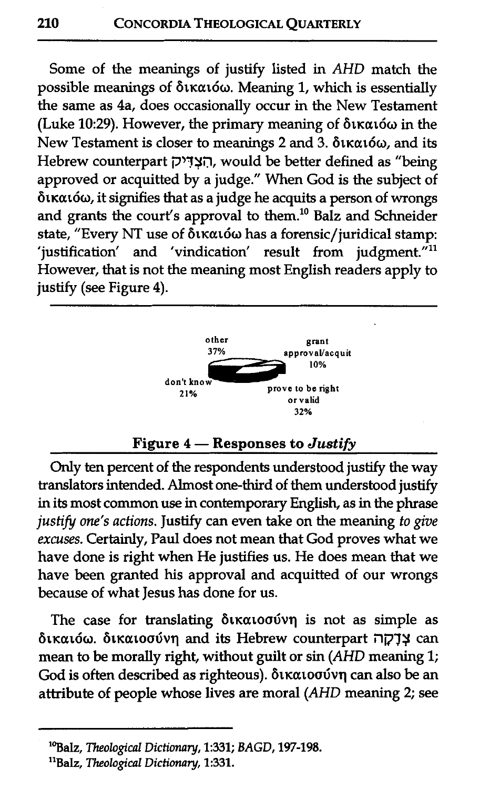Some of the meanings of justify listed in AHD match the possible meanings of δικαιόω. Meaning 1, which is essentially the same as 4a, does occasionally occur in the New Testament (Luke 10:29). However, the primary meaning of  $\delta$ tkató $\omega$  in the New Testament is closer to meanings 2 and 3.  $\delta$ ικαιόω, and its Hebrew counterpart הָצְדִּיק, would be better defined as "being approved or acquitted by a judge." When God is the subject of  $\delta$ ικαιόω, it signifies that as a judge he acquits a person of wrongs and grants the court's approval to them.<sup>10</sup> Balz and Schneider state, "Every NT use of δικαιόω has a forensic/juridical stamp: 'justification' and 'vindication' result from judgment. $i$ <sup>11</sup> However, that is not the meaning most English readers apply to justify (see Figure 4).



Only ten percent of the respondents understood justify the way translators intended. Almost one-third of them understood justify in its most common use in contemporary English, as in the phrase justify one's actions. Justify can even take on the meaning to give excuses. Certainly, Paul does not mean that God proves what we have done is right when He justifies us. He does mean that we have been granted his approval and acquitted of our wrongs because of what Jesus has done for us.

The case for translating  $\delta$ ικαιοσύνη is not as simple as 6t~at60. 6t~atoadvq and its Hebrew counterpart **;7i73\$** can mean to be morally right, without guilt or sin (AHD meaning 1; God is often described as righteous). δικαιοσύνη can also be an attribute of people whose lives are moral (AHD meaning 2; see

**<sup>&#</sup>x27;%alz,** *Theological* **Dictionary, 1:331;** *BAGD,* **197-198.** 

**<sup>&</sup>quot;Balz,** *Theological Dictionay,* **1:331.**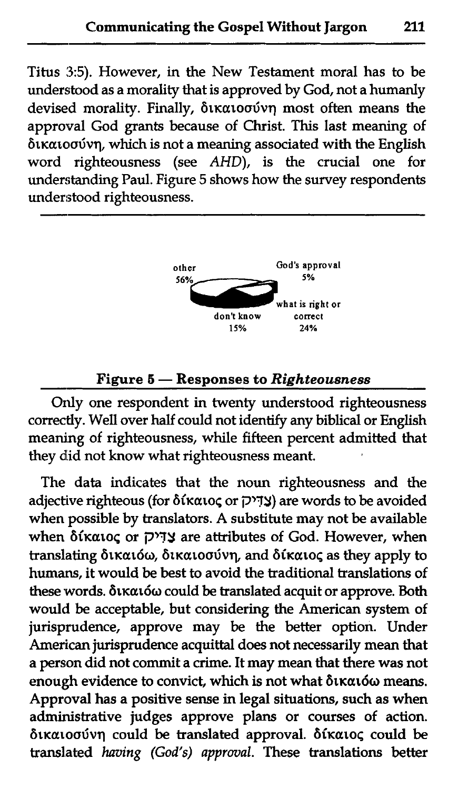Titus **3:5).** However, in the New Testament moral has to be understood as a morality that is approved by God, not a humanly devised morality. Finally, δικαιοσύνη most often means the approval God grants because of Christ. This last meaning of  $\delta$ i $\kappa$  $\alpha$  to $\sigma$  which is not a meaning associated with the English word righteousness (see AHD), is the crucial one for understanding Paul. Figure 5 shows how the survey respondents understood righteousness. kαιοσύνη<br>ord righ<br>nderstandi<br>nderstood<br>————————————————————



<sup>don't know</sup> correct<br>
<sup>15%</sup><sup>24%</sup><br> **Figure 5** — Responses to *Righteousness*<br>
Only one respondent in twenty understood righteousness correctly. Well over half could not identify any biblical or English meaning of righteousness, while fifteen percent admitted that they did not know what righteousness meant.

The data indicates that the noun righteousness and the adjective righteous (for 6ika10< or 3'7f) are words to be avoided when possible by translators. A substitute may not be available when δίκαιος or אֲדִ<sup>יכ</sup> are attributes of God. However, when translating δικαιόω, δικαιοσύνη, and δίκαιος as they apply to humans, it would be best to avoid the traditional translations of these words. δικαιόω could be translated acquit or approve. Both would be acceptable, but considering the American system of jurisprudence, approve may be the better option. Under American jurisprudence acquittal does not necessarily mean that a person did not commit a crime. It may mean that there was not enough evidence to convict, which is not what  $\delta$ tk $\alpha$ 160 means. Approval has a positive sense in legal situations, such as when administrative judges approve plans or courses of action. δικαιοσύνη could be translated approval. δίκαιος could be translated **having** (God's) approval. These translations better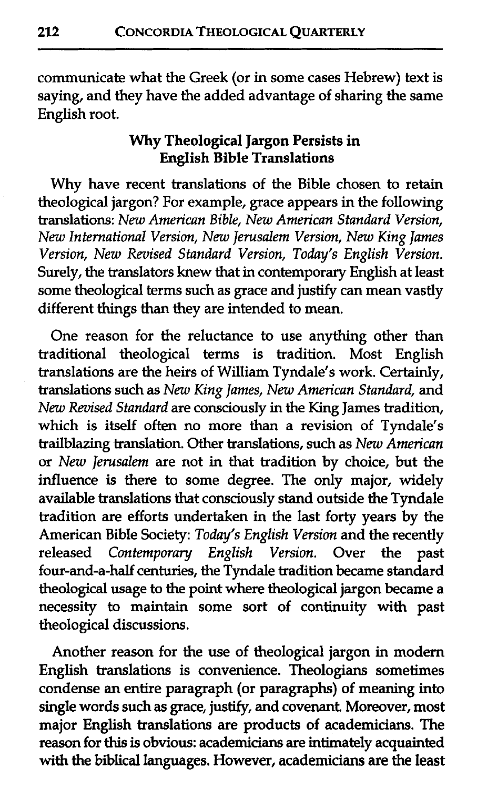communicate what the Greek (or in some cases Hebrew) text is saying, and they have the added advantage of sharing the same English root.

## **Why** Theological Jargon Persists in English Bible Translations

Why have recent translations of the Bible chosen to retain theological jargon? For example, grace appears in the following translations: New American Bible, New American Standard Version, New International Version, New Jerusalem Version, New King James Version, New Reuised Standard Version, Today's English Version. Surely, the translators knew that in contemporary English at least some theological terms such as grace and justify can mean vastly different things than they are intended to mean.

One reason for the reluctance to use anything other than traditional theological terms is tradition. Most English translations are the heirs of William Tyndale's work. Certainly, translations such as New King James, New American Standard, and New Revised Standard are consciously in the King James tradition, which is itself often no more **than** a revision of Tyndale's trailblazing translation. Other translations, such as New American or New Jerusalem are not in that tradition by choice, but the influence is there to some degree. The only major, widely available translations that consciously stand outside the Tyndale tradition are efforts undertaken in the last forty years by the American Bible Society: Today's English Version and the recently released Contemporary English Version. Over the past four-and-a-half centuries, the Tyndale tradition became standard theological usage to the point where theological jargon became a necessity to maintain some sort of continuity with past theological discussions.

Another reason for the use of theological jargon in modern English translations is convenience. Theologians sometimes condense an entire paragraph (or paragraphs) of meaning into single words such as grace, justify, and covenant. Moreover, most major English translations are products of academicians. The reason for this is obvious: academicians are intimately acquainted with the biblical languages. However, academicians are the least

212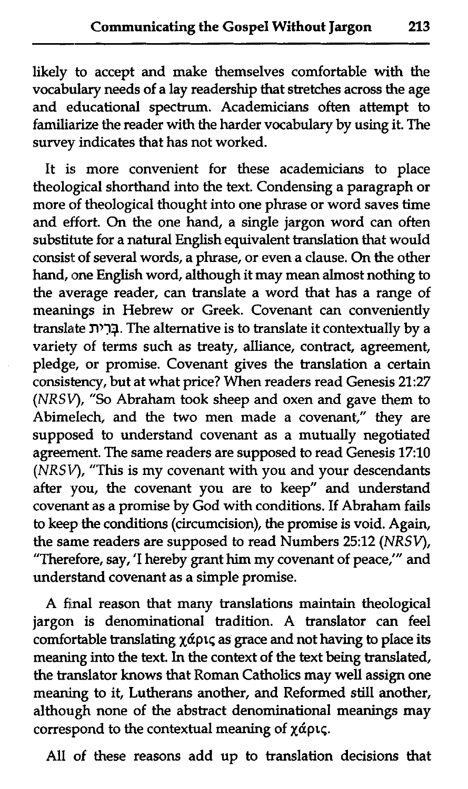likely to accept and make themselves comfortable with the vocabulary needs of a lay readership that stretches across the age and educational spectrum. Academicians often attempt to familiarize the reader with the harder vocabulary by using it. The survey indicates that has not worked.

It is more convenient for these academicians to place theological shorthand into the text. Condensing a paragraph or more of theological thought into one phrase or word saves time and effort. On the one hand, a single jargon word can often substitute for a natural English equivalent translation that would consist of several words, a phrase, or even a clause. On the other hand, one English word, although it may mean almost nothing to the average reader, can translate a word that has a range of meanings in Hebrew or Greek. Covenant can conveniently translate **n'3\$.** The alternative is to translate it contextually by a variety of terms such as treaty, alliance, contract, agreement, pledge, or promise. Covenant gives the translation a certain consistency, but at what price? When readers read Genesis **21:27**  (NRSV), "So Abraham took sheep and oxen and gave them to Abimelech, and the two men made a covenant," they are supposed to understand covenant as a mutually negotiated agreernent. The same readers are supposed to read Genesis **17:10**  (NRSV), "This is my covenant with you and your descendants after you, the covenant you are to keep" and understand covenant as a promise by God with conditions. If Abraham fails to keep the conditions (circumcision), the promise is void. Again, the same readers are supposed to read Numbers 25:12 *(NRSV)*, "Therefore, say, 'I hereby grant him my covenant of peace,'" and understand covenant as a simple promise.

A final reason that many translations maintain theological jargon is denominational tradition. A translator can feel comfortable translating  $\chi$ άρις as grace and not having to place its meaning into the text. In the context of the text being translated, the translator knows that Roman Catholics may well assign one meaning to it, Lutherans another, and Reformed still another, although none of the abstract denominational meanings may correspond to the contextual meaning of  $\chi$ *ápt*,

All of these reasons add up to translation decisions that